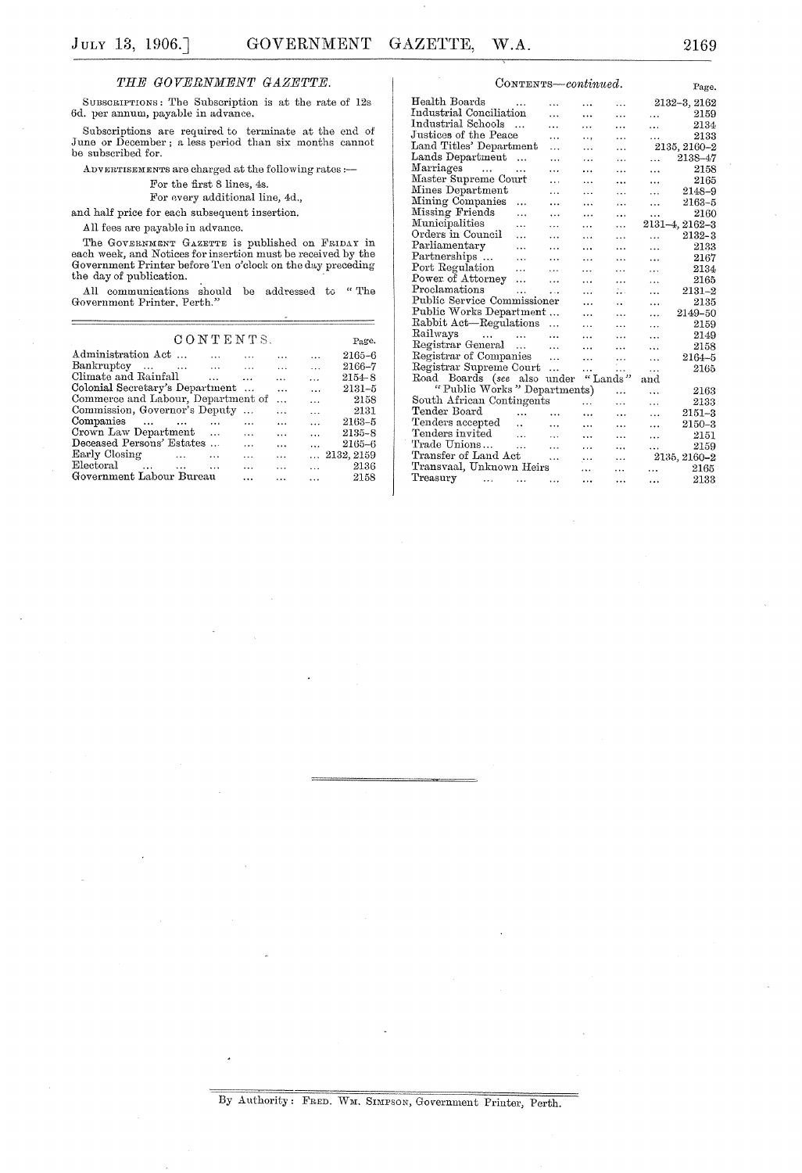## *THE GOVERNMENT GAZETTE.*

SUBSCRIP'rIONS; The Subscription is at the rate of 12s 6d. per annum, payable in advance.

Subscriptions are required to terminate at the cnd of June or December; a less period than six months cannot be subscribed for.

ADVERTISEMENTS are charged at the following rates :-

For the first 8 lines, 4s.

For every additional line, 4d.,

and half price for each subsequent insertion.

All fees are payable in advance.

The GOVERNMENT GAZETTE is published on FRIDAY in each week, and Notices for insertion must be received by the Government Printer before Ten o'clock on the day preceding the day of publication.

All communications should be addressed to "The Government Printer, Perth."

| CONTENTS.                          |                                                                                                                                                                                                                                |                                            |                  |                          |                     |  |  |
|------------------------------------|--------------------------------------------------------------------------------------------------------------------------------------------------------------------------------------------------------------------------------|--------------------------------------------|------------------|--------------------------|---------------------|--|--|
| Administration Act                 | $\cdots$<br>$\sim$ $\sim$ $\sim$ $\sim$ $\sim$                                                                                                                                                                                 |                                            | $\cdots$         | $\cdots$                 | 2165-6              |  |  |
| Bankruptcy                         | and the contract of the contract of the contract of the contract of the contract of the contract of the contract of the contract of the contract of the contract of the contract of the contract of the contract of the contra | <b>Contract Contract</b>                   |                  | $\overline{\phantom{a}}$ | 2166-7              |  |  |
| Climate and Rainfall               |                                                                                                                                                                                                                                | the contract of the contract of the        | $\cdots$         | $\ddot{\phantom{a}}$     | $2154 - 8$          |  |  |
| Colonial Secretary's Department    |                                                                                                                                                                                                                                |                                            | $\ddotsc$        | $\ddotsc$                | $2131 - 5$          |  |  |
| Commerce and Labour, Department of |                                                                                                                                                                                                                                |                                            | $\mathbf{r}$     | $\cdots$                 | 2158                |  |  |
| Commission, Governor's Deputy      |                                                                                                                                                                                                                                |                                            | $\cdots$         | $\ddots$                 | 2131                |  |  |
| Companies                          |                                                                                                                                                                                                                                | $\cdots$                                   | $\cdots$         | $\ddotsc$                | 2163-5              |  |  |
| Crown Law Department               |                                                                                                                                                                                                                                | $\cdots$                                   | $\ddotsc$        | $\mathbf{1}$             | $2135 - 8$          |  |  |
| Deceased Persons' Estates          |                                                                                                                                                                                                                                | $\cdots$                                   | $\cdots$         |                          | $2165 - 6$          |  |  |
| Early Closing                      |                                                                                                                                                                                                                                | $\sim$ $\sim$ $\sim$ $\sim$                | $\ddotsc$        |                          | $\ldots$ 2132, 2159 |  |  |
| Electoral                          |                                                                                                                                                                                                                                | <b>Contract Contract Contract Contract</b> | and the contract | and the con-             | 2136                |  |  |
| Government Labour Bureau           |                                                                                                                                                                                                                                | .                                          |                  | $\cdots$                 | 2158                |  |  |
|                                    |                                                                                                                                                                                                                                |                                            |                  |                          |                     |  |  |

| CONTENTS-continued.                      |              |               | Page.     |                      |              |                |  |
|------------------------------------------|--------------|---------------|-----------|----------------------|--------------|----------------|--|
| Health Boards                            | $\cdot$<br>. |               |           |                      | 2132-3, 2162 |                |  |
| Industrial Conciliation                  |              | $\sim$ $\sim$ | .         | .                    | $\cdots$     | 2159           |  |
| Industrial Schools                       | $\cdots$     | .             | .         | .                    | $\cdots$     | 2134           |  |
| Justices of the Peace                    |              | .             |           | .                    | .            | 2133           |  |
| Land Titles' Department                  |              | .             | .         | $\cdots$             |              | 2135, 2160–2   |  |
| Lands Department                         | $\cdots$     | $\ddotsc$     | .         | $\ddotsc$            | .            | 2138-47        |  |
| Marriages<br><b>Contractor</b>           |              | .             | .         | .                    | .            | 2158           |  |
| Master Supreme Court                     |              | .             | .         | .                    | .            | 2165           |  |
| Mines Department                         |              | $\ddotsc$     | .         | .                    | $\cdots$     | $2148 - 9$     |  |
| Mining Companies                         | .            | .             | .         | $\cdots$             | .            | $2163 - 5$     |  |
| Missing Friends                          | .            | $\cdot$       | .         | $\cdots$             | .            | 2160           |  |
| Municipalities                           | .            | .             | $\cdots$  | $\cdots$             |              | 2131-4, 2162-3 |  |
| Orders in Council                        | $\ddotsc$    | $\cdots$      | $\ddotsc$ | .                    | $\ddotsc$    | $2132 - 3$     |  |
| Parliamentary                            | .            | $\ddotsc$     | $\cdots$  | .                    | .            | 2133           |  |
| Partnerships                             | $\ddotsc$    | $\ddotsc$     | $\cdots$  | .                    | $\ddotsc$    | 2167           |  |
| Port Regulation                          | $\cdots$     | $\cdots$      | .         | $\ddotsc$            | $\cdots$     | 2134           |  |
| Power of Attorney                        | .            | $\ddotsc$     | .         | .                    | .            | 2165           |  |
| Proclamations                            |              | $\ddotsc$     | $\cdots$  | ÷.,                  | .            | $2131 - 2$     |  |
| Public Service Commissioner              |              |               | .         | $\ddot{\phantom{0}}$ | .            | 2135           |  |
| Public Works Department<br>$\cdots$<br>. |              |               |           |                      |              | 2149-50        |  |
| Rabbit Act-Regulations                   |              |               | $\cdots$  | .                    | .<br>.       | 2159           |  |
| Railways<br>$\cdots$                     | $\ddotsc$    | .             | $\cdots$  | .                    | .            | 2149           |  |
| Registrar General                        | $\cdots$     | $\ddotsc$     | $\cdots$  | $\cdots$             | .            | 2158           |  |
| Registrar of Companies                   |              | $\ddotsc$     | .         | $\cdots$             | $\ddotsc$    | $2164 - 5$     |  |
| Registrar Supreme Court                  |              | .             | .         | .                    | .            | 2165           |  |
| Road Boards (see also under              |              |               |           | "Lands"              | and          |                |  |
| "Public Works" Departments)              |              |               |           |                      | .            | 2163           |  |
| South African Contingents                |              |               | $\cdots$  | .                    | .            | 2133           |  |
| Tender Board                             | $\ddotsc$    | $\cdots$      | $\ddotsc$ | $\cdots$             | .            | $2151 - 3$     |  |
| Tenders accepted                         | $\ddotsc$    | $\ddotsc$     | .         | .                    | .            | 2150-3         |  |
| Tenders invited                          | $\ddotsc$    | $\cdots$      | .         | .                    | .            | 2151           |  |
| Trade Unions                             |              | .             | .         |                      | $\cdots$     | 2159           |  |
| Transfer of Land Act                     |              | .             | $\ddotsc$ | $\cdots$             |              | 2135, 2160-2   |  |
| Transvaal, Unknown Heirs                 |              |               | $\cdots$  | .                    | $\cdots$     | 2165           |  |
| Treasury<br>$\cdots$                     | .            | .             |           | .                    |              | 2133           |  |
|                                          |              |               |           |                      |              |                |  |

By Authority: FRED. WM. SIMPSON, Government Printer, Perth.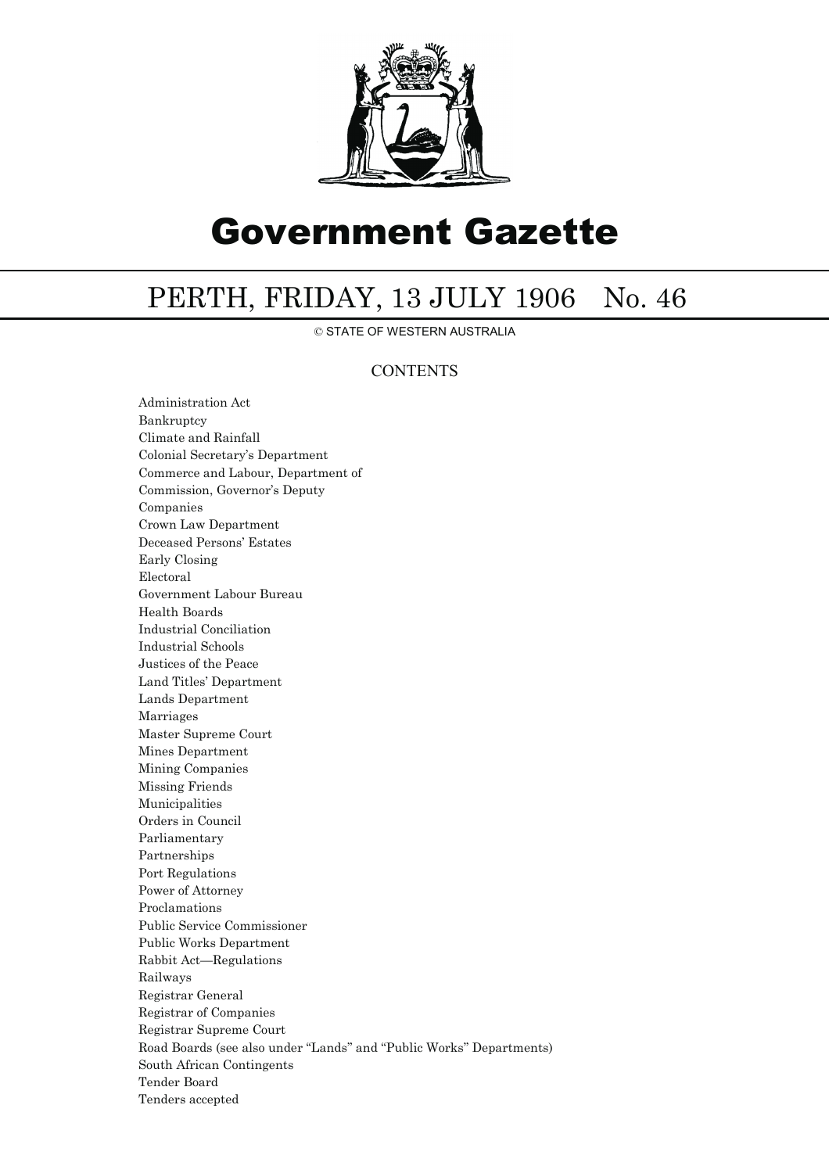

## Government Gazette

## PERTH, FRIDAY, 13 JULY 1906 No. 46

© STATE OF WESTERN AUSTRALIA

## **CONTENTS**

Administration Act Bankruptcy Climate and Rainfall Colonial Secretary's Department Commerce and Labour, Department of Commission, Governor's Deputy Companies Crown Law Department Deceased Persons' Estates Early Closing Electoral Government Labour Bureau Health Boards Industrial Conciliation Industrial Schools Justices of the Peace Land Titles' Department Lands Department Marriages Master Supreme Court Mines Department Mining Companies Missing Friends Municipalities Orders in Council Parliamentary Partnerships Port Regulations Power of Attorney Proclamations Public Service Commissioner Public Works Department Rabbit Act—Regulations Railways Registrar General Registrar of Companies Registrar Supreme Court Road Boards (see also under ''Lands'' and ''Public Works'' Departments) South African Contingents Tender Board Tenders accepted